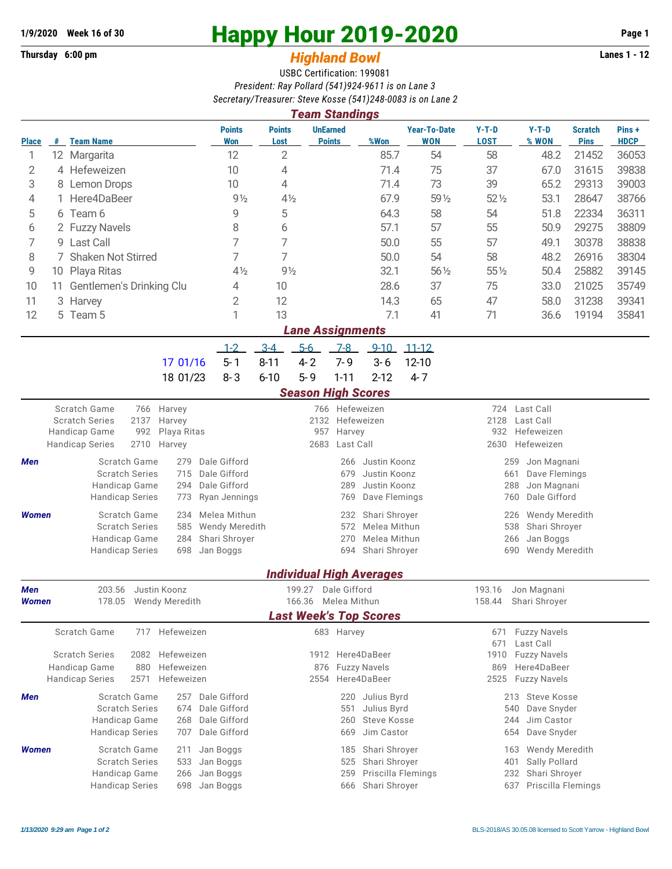## **Thursday 6:00 pm** *Highland Bowl* **Lanes 1 - 12**

## **1/9/2020 Week 16 of 30 Happy Hour 2019-2020 Page 1**

## USBC Certification: 199081 *President: Ray Pollard (541)924-9611 is on Lane 3 Secretary/Treasurer: Steve Kosse (541)248-0083 is on Lane 2*

| <b>Team Standings</b>                                                                            |                                |                                                                                                                                          |                                                              |                                                                                            |                                                                                                   |                                            |                                                                |                                 |                                                                                                        |                                                                                                     |                                     |                               |                      |  |
|--------------------------------------------------------------------------------------------------|--------------------------------|------------------------------------------------------------------------------------------------------------------------------------------|--------------------------------------------------------------|--------------------------------------------------------------------------------------------|---------------------------------------------------------------------------------------------------|--------------------------------------------|----------------------------------------------------------------|---------------------------------|--------------------------------------------------------------------------------------------------------|-----------------------------------------------------------------------------------------------------|-------------------------------------|-------------------------------|----------------------|--|
| <b>Place</b>                                                                                     | #                              | <b>Team Name</b>                                                                                                                         |                                                              | <b>Points</b><br><b>Won</b>                                                                | <b>Points</b><br>Lost                                                                             | <b>UnEarned</b><br><b>Points</b>           |                                                                | %Won                            | <b>Year-To-Date</b><br><b>WON</b>                                                                      | $Y-T-D$<br><b>LOST</b>                                                                              | $Y-T-D$<br>% WON                    | <b>Scratch</b><br><b>Pins</b> | Pins+<br><b>HDCP</b> |  |
| 1                                                                                                |                                | 12 Margarita                                                                                                                             |                                                              | 12                                                                                         | $\overline{2}$                                                                                    |                                            |                                                                | 85.7                            | 54                                                                                                     | 58                                                                                                  | 48.2                                | 21452                         | 36053                |  |
| 2                                                                                                |                                | 4 Hefeweizen                                                                                                                             |                                                              | 10                                                                                         | 4                                                                                                 |                                            |                                                                | 71.4                            | 75                                                                                                     | 37                                                                                                  | 67.0                                | 31615                         | 39838                |  |
| 3                                                                                                | 8                              | Lemon Drops                                                                                                                              |                                                              | 10                                                                                         | 4                                                                                                 |                                            |                                                                | 71.4                            | 73                                                                                                     | 39                                                                                                  | 65.2                                | 29313                         | 39003                |  |
| 4                                                                                                | 1.                             | Here4DaBeer                                                                                                                              |                                                              | $9\frac{1}{2}$                                                                             | $4\frac{1}{2}$                                                                                    |                                            |                                                                | 67.9                            | 59 1/2                                                                                                 | $52\%$                                                                                              | 53.1                                | 28647                         | 38766                |  |
| 5                                                                                                |                                | 6 Team 6                                                                                                                                 |                                                              | 9                                                                                          | 5                                                                                                 |                                            |                                                                | 64.3                            | 58                                                                                                     | 54                                                                                                  | 51.8                                | 22334                         | 36311                |  |
| 6                                                                                                |                                | 2 Fuzzy Navels                                                                                                                           |                                                              | 8                                                                                          | 6                                                                                                 |                                            |                                                                | 57.1                            | 57                                                                                                     | 55                                                                                                  | 50.9                                | 29275                         | 38809                |  |
| 7                                                                                                |                                | 9 Last Call                                                                                                                              |                                                              | 7                                                                                          | 7                                                                                                 |                                            |                                                                | 50.0                            | 55                                                                                                     | 57                                                                                                  | 49.1                                | 30378                         | 38838                |  |
| 8                                                                                                | 7 Shaken Not Stirred           |                                                                                                                                          |                                                              |                                                                                            | 7                                                                                                 |                                            |                                                                | 50.0                            | 54                                                                                                     | 58                                                                                                  | 48.2                                | 26916                         | 38304                |  |
| 9                                                                                                | 10 Playa Ritas                 |                                                                                                                                          |                                                              |                                                                                            | $9\frac{1}{2}$                                                                                    |                                            |                                                                | 32.1                            | $56\frac{1}{2}$                                                                                        | 55 1/2                                                                                              | 50.4                                | 25882                         | 39145                |  |
| 10                                                                                               | Gentlemen's Drinking Clu<br>11 |                                                                                                                                          |                                                              | 4                                                                                          | 10                                                                                                |                                            |                                                                | 28.6                            | 37                                                                                                     | 75                                                                                                  | 33.0                                | 21025                         | 35749                |  |
| 11                                                                                               |                                | 3 Harvey                                                                                                                                 |                                                              | 2                                                                                          | 12                                                                                                |                                            |                                                                | 14.3                            | 65                                                                                                     | 47                                                                                                  | 58.0                                | 31238                         | 39341                |  |
| 12                                                                                               |                                | 5 Team 5                                                                                                                                 |                                                              | 1                                                                                          | 13                                                                                                |                                            |                                                                | 7.1                             | 41                                                                                                     | 71                                                                                                  | 36.6                                | 19194                         | 35841                |  |
|                                                                                                  |                                |                                                                                                                                          |                                                              |                                                                                            |                                                                                                   | <b>Lane Assignments</b>                    |                                                                |                                 |                                                                                                        |                                                                                                     |                                     |                               |                      |  |
|                                                                                                  |                                |                                                                                                                                          |                                                              | $1 - 2$                                                                                    | $3 - 4$                                                                                           | $5-6$                                      | $7-8$                                                          | $9 - 10$                        | $11 - 12$                                                                                              |                                                                                                     |                                     |                               |                      |  |
|                                                                                                  |                                |                                                                                                                                          | 17 01/16                                                     | $5 - 1$                                                                                    | $8 - 11$                                                                                          | $4 - 2$                                    | $7 - 9$                                                        | $3 - 6$                         | $12 - 10$                                                                                              |                                                                                                     |                                     |                               |                      |  |
|                                                                                                  |                                |                                                                                                                                          | 18 01/23                                                     | $8 - 3$                                                                                    | $6 - 10$                                                                                          | $5 - 9$                                    | $1 - 11$                                                       | $2 - 12$                        | $4 - 7$                                                                                                |                                                                                                     |                                     |                               |                      |  |
|                                                                                                  |                                |                                                                                                                                          |                                                              |                                                                                            |                                                                                                   |                                            |                                                                | <b>Season High Scores</b>       |                                                                                                        |                                                                                                     |                                     |                               |                      |  |
| Men                                                                                              |                                | Scratch Game<br>766<br><b>Scratch Series</b><br>2137<br>Handicap Game<br>992<br>2710<br><b>Handicap Series</b><br>Harvey<br>Scratch Game | Dale Gifford                                                 |                                                                                            | 2132<br>957<br>2683                                                                               | Harvey<br>Last Call<br>266                 | 766 Hefeweizen<br>Hefeweizen<br>Justin Koonz                   |                                 | 724<br>Last Call<br>2128<br>Last Call<br>Hefeweizen<br>932<br>Hefeweizen<br>2630<br>Jon Magnani<br>259 |                                                                                                     |                                     |                               |                      |  |
|                                                                                                  |                                | <b>Scratch Series</b><br>Handicap Game<br><b>Handicap Series</b>                                                                         | Dale Gifford<br>Dale Gifford                                 | Justin Koonz<br>679<br>289<br>Justin Koonz<br>Dave Flemings<br>Ryan Jennings<br>769        |                                                                                                   |                                            |                                                                |                                 |                                                                                                        | 661<br>Dave Flemings<br>288<br>Jon Magnani<br>Dale Gifford<br>760                                   |                                     |                               |                      |  |
| <b>Women</b>                                                                                     |                                | <b>Scratch Game</b><br><b>Scratch Series</b><br>Handicap Game<br><b>Handicap Series</b>                                                  | Melea Mithun<br>Wendy Meredith<br>Shari Shroyer<br>Jan Boggs |                                                                                            |                                                                                                   | 232<br>572<br>270<br>694                   | Shari Shroyer<br>Melea Mithun<br>Melea Mithun<br>Shari Shroyer |                                 | Wendy Meredith<br>226<br>538<br>Shari Shroyer<br>Jan Boggs<br>266<br>Wendy Meredith<br>690             |                                                                                                     |                                     |                               |                      |  |
|                                                                                                  |                                |                                                                                                                                          |                                                              |                                                                                            |                                                                                                   |                                            |                                                                | <b>Individual High Averages</b> |                                                                                                        |                                                                                                     |                                     |                               |                      |  |
| Men<br><b>Women</b>                                                                              |                                | 203.56 Justin Koonz<br>178.05 Wendy Meredith                                                                                             |                                                              |                                                                                            |                                                                                                   | 199.27 Dale Gifford<br>166.36 Melea Mithun |                                                                |                                 |                                                                                                        | 193.16                                                                                              | Jon Magnani<br>158.44 Shari Shroyer |                               |                      |  |
|                                                                                                  |                                |                                                                                                                                          |                                                              | <b>Last Week's Top Scores</b>                                                              |                                                                                                   |                                            |                                                                |                                 |                                                                                                        |                                                                                                     |                                     |                               |                      |  |
|                                                                                                  |                                | Scratch Game<br>Hefeweizen<br>717<br><b>Scratch Series</b><br>2082<br>Handicap Game<br>880                                               |                                                              | 683 Harvey<br>1912 Here4DaBeer<br><b>Fuzzy Navels</b><br>876                               |                                                                                                   |                                            |                                                                |                                 |                                                                                                        | <b>Fuzzy Navels</b><br>671<br>671<br>Last Call<br>1910<br><b>Fuzzy Navels</b><br>Here4DaBeer<br>869 |                                     |                               |                      |  |
|                                                                                                  |                                | <b>Handicap Series</b><br>2571                                                                                                           | Hefeweizen<br>257                                            |                                                                                            |                                                                                                   | Here4DaBeer<br>2554                        |                                                                |                                 |                                                                                                        | <b>Fuzzy Navels</b><br>2525                                                                         |                                     |                               |                      |  |
| Men                                                                                              |                                | Scratch Game<br><b>Scratch Series</b><br>Handicap Game<br><b>Handicap Series</b>                                                         | Dale Gifford<br>Dale Gifford<br>Dale Gifford<br>Dale Gifford | Julius Byrd<br>220<br>Julius Byrd<br>551<br><b>Steve Kosse</b><br>260<br>Jim Castor<br>669 |                                                                                                   |                                            |                                                                |                                 | 213 Steve Kosse<br>540<br>Dave Snyder<br>244<br>Jim Castor<br>Dave Snyder<br>654                       |                                                                                                     |                                     |                               |                      |  |
| Scratch Game<br><b>Women</b><br><b>Scratch Series</b><br>Handicap Game<br><b>Handicap Series</b> |                                |                                                                                                                                          | 211<br>533<br>266<br>698                                     | Jan Boggs<br>Jan Boggs<br>Jan Boggs<br>Jan Boggs                                           | Shari Shroyer<br>185<br>Shari Shroyer<br>525<br>Priscilla Flemings<br>259<br>Shari Shroyer<br>666 |                                            |                                                                |                                 |                                                                                                        | Wendy Meredith<br>163<br>Sally Pollard<br>401<br>Shari Shroyer<br>232<br>Priscilla Flemings<br>637  |                                     |                               |                      |  |